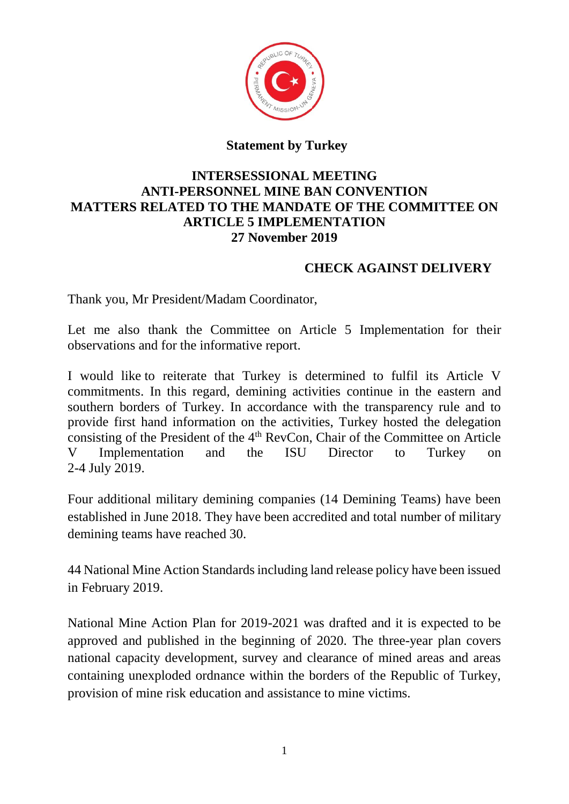

## **Statement by Turkey**

## **INTERSESSIONAL MEETING ANTI-PERSONNEL MINE BAN CONVENTION MATTERS RELATED TO THE MANDATE OF THE COMMITTEE ON ARTICLE 5 IMPLEMENTATION 27 November 2019**

## **CHECK AGAINST DELIVERY**

Thank you, Mr President/Madam Coordinator,

Let me also thank the Committee on Article 5 Implementation for their observations and for the informative report.

I would like to reiterate that Turkey is determined to fulfil its Article V commitments. In this regard, demining activities continue in the eastern and southern borders of Turkey. In accordance with the transparency rule and to provide first hand information on the activities, Turkey hosted the delegation consisting of the President of the  $4<sup>th</sup>$  RevCon, Chair of the Committee on Article V Implementation and the ISU Director to Turkey on 2-4 July 2019.

Four additional military demining companies (14 Demining Teams) have been established in June 2018. They have been accredited and total number of military demining teams have reached 30.

44 National Mine Action Standards including land release policy have been issued in February 2019.

National Mine Action Plan for 2019-2021 was drafted and it is expected to be approved and published in the beginning of 2020. The three-year plan covers national capacity development, survey and clearance of mined areas and areas containing unexploded ordnance within the borders of the Republic of Turkey, provision of mine risk education and assistance to mine victims.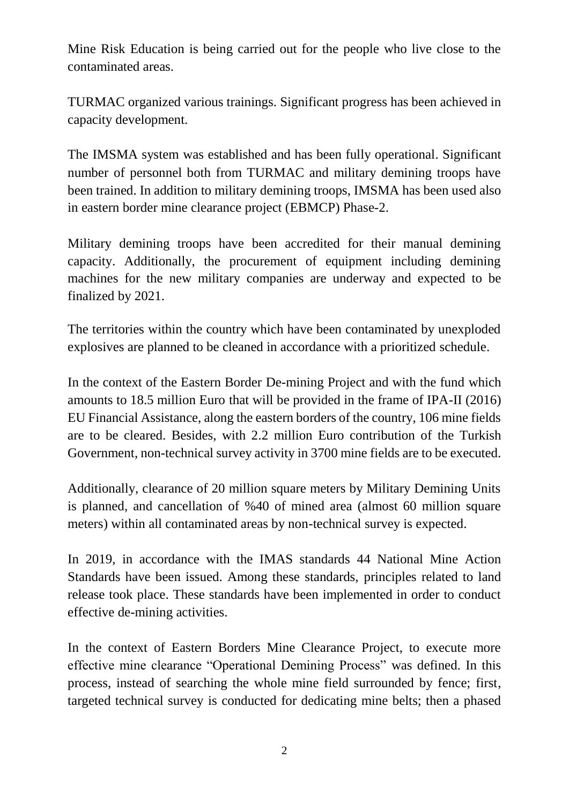Mine Risk Education is being carried out for the people who live close to the contaminated areas.

TURMAC organized various trainings. Significant progress has been achieved in capacity development.

The IMSMA system was established and has been fully operational. Significant number of personnel both from TURMAC and military demining troops have been trained. In addition to military demining troops, IMSMA has been used also in eastern border mine clearance project (EBMCP) Phase-2.

Military demining troops have been accredited for their manual demining capacity. Additionally, the procurement of equipment including demining machines for the new military companies are underway and expected to be finalized by 2021.

The territories within the country which have been contaminated by unexploded explosives are planned to be cleaned in accordance with a prioritized schedule.

In the context of the Eastern Border De-mining Project and with the fund which amounts to 18.5 million Euro that will be provided in the frame of IPA-II (2016) EU Financial Assistance, along the eastern borders of the country, 106 mine fields are to be cleared. Besides, with 2.2 million Euro contribution of the Turkish Government, non-technical survey activity in 3700 mine fields are to be executed.

Additionally, clearance of 20 million square meters by Military Demining Units is planned, and cancellation of %40 of mined area (almost 60 million square meters) within all contaminated areas by non-technical survey is expected.

In 2019, in accordance with the IMAS standards 44 National Mine Action Standards have been issued. Among these standards, principles related to land release took place. These standards have been implemented in order to conduct effective de-mining activities.

In the context of Eastern Borders Mine Clearance Project, to execute more effective mine clearance "Operational Demining Process" was defined. In this process, instead of searching the whole mine field surrounded by fence; first, targeted technical survey is conducted for dedicating mine belts; then a phased